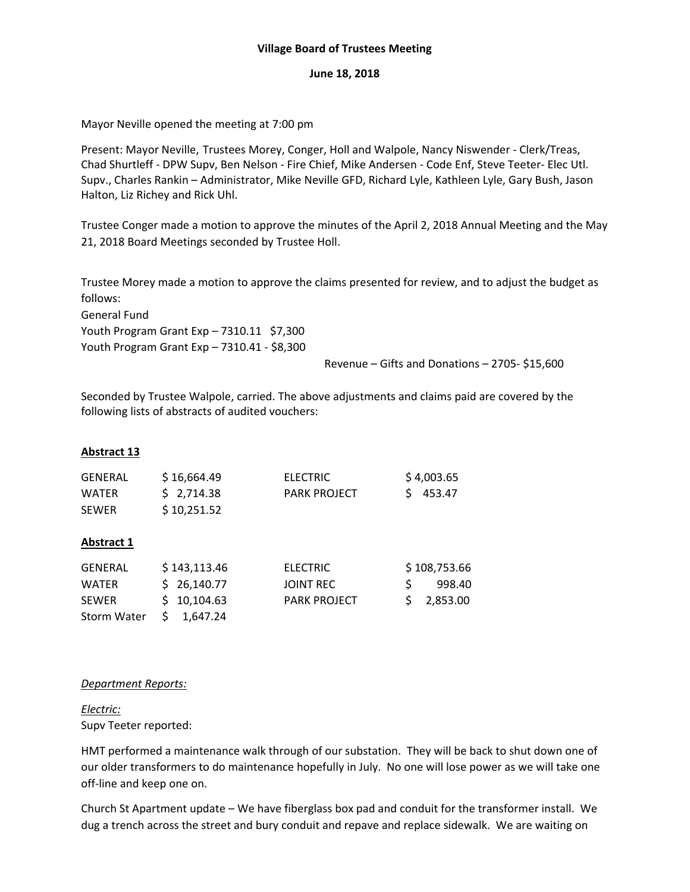### **Village Board of Trustees Meeting**

#### **June 18, 2018**

Mayor Neville opened the meeting at 7:00 pm

Present: Mayor Neville, Trustees Morey, Conger, Holl and Walpole, Nancy Niswender ‐ Clerk/Treas, Chad Shurtleff ‐ DPW Supv, Ben Nelson ‐ Fire Chief, Mike Andersen ‐ Code Enf, Steve Teeter‐ Elec Utl. Supv., Charles Rankin – Administrator, Mike Neville GFD, Richard Lyle, Kathleen Lyle, Gary Bush, Jason Halton, Liz Richey and Rick Uhl.

Trustee Conger made a motion to approve the minutes of the April 2, 2018 Annual Meeting and the May 21, 2018 Board Meetings seconded by Trustee Holl.

Trustee Morey made a motion to approve the claims presented for review, and to adjust the budget as follows:

General Fund

Youth Program Grant Exp – 7310.11 \$7,300 Youth Program Grant Exp – 7310.41 ‐ \$8,300

Revenue – Gifts and Donations – 2705‐ \$15,600

Seconded by Trustee Walpole, carried. The above adjustments and claims paid are covered by the following lists of abstracts of audited vouchers:

# **Abstract 13**

| <b>GENERAL</b> | \$16,664.49 | ELECTRIC            | \$4,003.65 |
|----------------|-------------|---------------------|------------|
| <b>WATER</b>   | S 2.714.38  | <b>PARK PROJECT</b> | S 453.47   |
| <b>SEWER</b>   | \$10,251.52 |                     |            |

### **Abstract 1**

| GENERAL      | \$143,113.46 | ELECTRIC            | \$108,753.66 |
|--------------|--------------|---------------------|--------------|
| <b>WATER</b> | \$26.140.77  | JOINT REC           | 998.40       |
| <b>SEWER</b> | \$10,104.63  | <b>PARK PROJECT</b> | \$ 2,853.00  |
| Storm Water  | S 1,647.24   |                     |              |

#### *Department Reports:*

### *Electric:* Supv Teeter reported:

HMT performed a maintenance walk through of our substation. They will be back to shut down one of our older transformers to do maintenance hopefully in July. No one will lose power as we will take one off‐line and keep one on.

Church St Apartment update – We have fiberglass box pad and conduit for the transformer install. We dug a trench across the street and bury conduit and repave and replace sidewalk. We are waiting on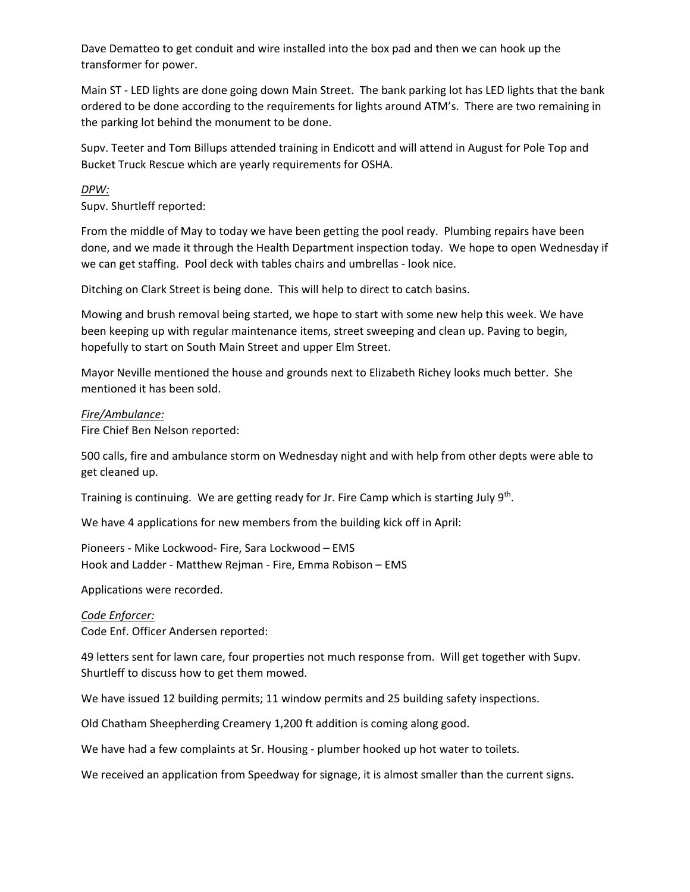Dave Dematteo to get conduit and wire installed into the box pad and then we can hook up the transformer for power.

Main ST ‐ LED lights are done going down Main Street. The bank parking lot has LED lights that the bank ordered to be done according to the requirements for lights around ATM's. There are two remaining in the parking lot behind the monument to be done.

Supv. Teeter and Tom Billups attended training in Endicott and will attend in August for Pole Top and Bucket Truck Rescue which are yearly requirements for OSHA.

### *DPW:*

Supv. Shurtleff reported:

From the middle of May to today we have been getting the pool ready. Plumbing repairs have been done, and we made it through the Health Department inspection today. We hope to open Wednesday if we can get staffing. Pool deck with tables chairs and umbrellas ‐ look nice.

Ditching on Clark Street is being done. This will help to direct to catch basins.

Mowing and brush removal being started, we hope to start with some new help this week. We have been keeping up with regular maintenance items, street sweeping and clean up. Paving to begin, hopefully to start on South Main Street and upper Elm Street.

Mayor Neville mentioned the house and grounds next to Elizabeth Richey looks much better. She mentioned it has been sold.

### *Fire/Ambulance:*

Fire Chief Ben Nelson reported:

500 calls, fire and ambulance storm on Wednesday night and with help from other depts were able to get cleaned up.

Training is continuing. We are getting ready for Jr. Fire Camp which is starting July 9<sup>th</sup>.

We have 4 applications for new members from the building kick off in April:

Pioneers ‐ Mike Lockwood‐ Fire, Sara Lockwood – EMS Hook and Ladder ‐ Matthew Rejman ‐ Fire, Emma Robison – EMS

Applications were recorded.

### *Code Enforcer:*

Code Enf. Officer Andersen reported:

49 letters sent for lawn care, four properties not much response from. Will get together with Supv. Shurtleff to discuss how to get them mowed.

We have issued 12 building permits; 11 window permits and 25 building safety inspections.

Old Chatham Sheepherding Creamery 1,200 ft addition is coming along good.

We have had a few complaints at Sr. Housing - plumber hooked up hot water to toilets.

We received an application from Speedway for signage, it is almost smaller than the current signs.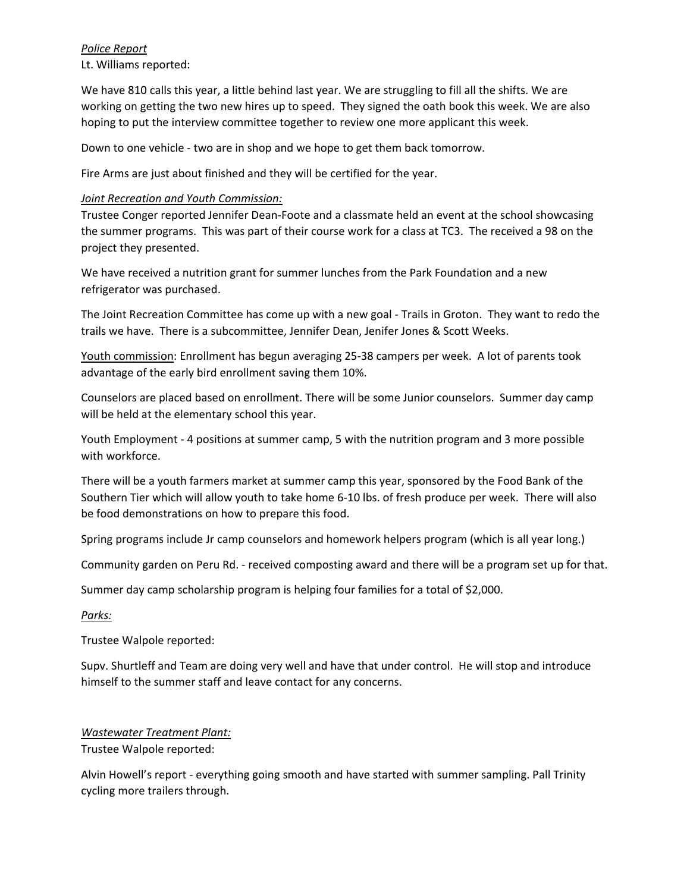### *Police Report*

Lt. Williams reported:

We have 810 calls this year, a little behind last year. We are struggling to fill all the shifts. We are working on getting the two new hires up to speed. They signed the oath book this week. We are also hoping to put the interview committee together to review one more applicant this week.

Down to one vehicle ‐ two are in shop and we hope to get them back tomorrow.

Fire Arms are just about finished and they will be certified for the year.

# *Joint Recreation and Youth Commission:*

Trustee Conger reported Jennifer Dean‐Foote and a classmate held an event at the school showcasing the summer programs. This was part of their course work for a class at TC3. The received a 98 on the project they presented.

We have received a nutrition grant for summer lunches from the Park Foundation and a new refrigerator was purchased.

The Joint Recreation Committee has come up with a new goal ‐ Trails in Groton. They want to redo the trails we have. There is a subcommittee, Jennifer Dean, Jenifer Jones & Scott Weeks.

Youth commission: Enrollment has begun averaging 25‐38 campers per week. A lot of parents took advantage of the early bird enrollment saving them 10%.

Counselors are placed based on enrollment. There will be some Junior counselors. Summer day camp will be held at the elementary school this year.

Youth Employment ‐ 4 positions at summer camp, 5 with the nutrition program and 3 more possible with workforce.

There will be a youth farmers market at summer camp this year, sponsored by the Food Bank of the Southern Tier which will allow youth to take home 6‐10 lbs. of fresh produce per week. There will also be food demonstrations on how to prepare this food.

Spring programs include Jr camp counselors and homework helpers program (which is all year long.)

Community garden on Peru Rd. ‐ received composting award and there will be a program set up for that.

Summer day camp scholarship program is helping four families for a total of \$2,000.

### *Parks:*

Trustee Walpole reported:

Supv. Shurtleff and Team are doing very well and have that under control. He will stop and introduce himself to the summer staff and leave contact for any concerns.

### *Wastewater Treatment Plant:*

Trustee Walpole reported:

Alvin Howell's report ‐ everything going smooth and have started with summer sampling. Pall Trinity cycling more trailers through.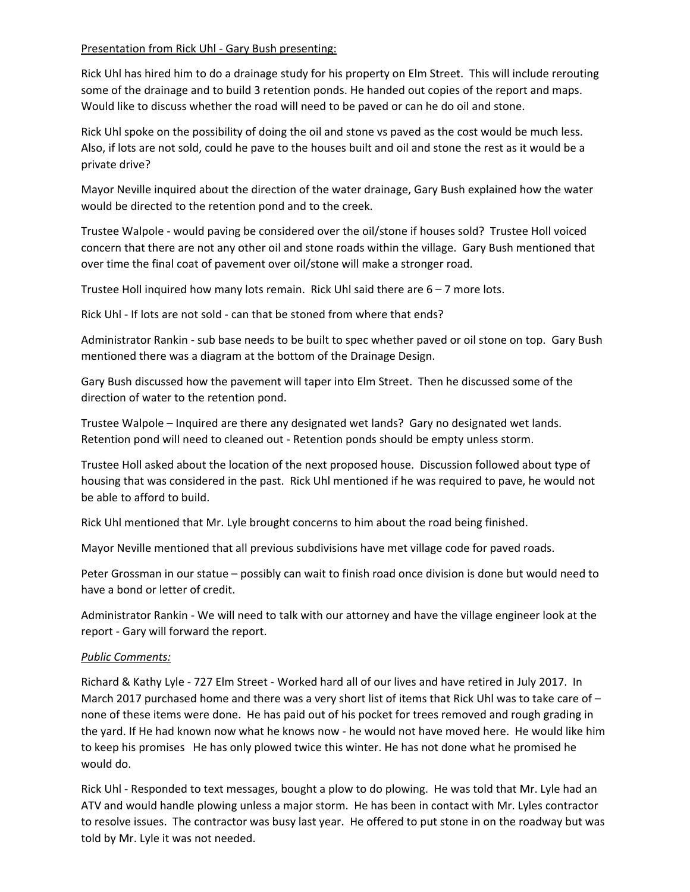### Presentation from Rick Uhl - Gary Bush presenting:

Rick Uhl has hired him to do a drainage study for his property on Elm Street. This will include rerouting some of the drainage and to build 3 retention ponds. He handed out copies of the report and maps. Would like to discuss whether the road will need to be paved or can he do oil and stone.

Rick Uhl spoke on the possibility of doing the oil and stone vs paved as the cost would be much less. Also, if lots are not sold, could he pave to the houses built and oil and stone the rest as it would be a private drive?

Mayor Neville inquired about the direction of the water drainage, Gary Bush explained how the water would be directed to the retention pond and to the creek.

Trustee Walpole ‐ would paving be considered over the oil/stone if houses sold? Trustee Holl voiced concern that there are not any other oil and stone roads within the village. Gary Bush mentioned that over time the final coat of pavement over oil/stone will make a stronger road.

Trustee Holl inquired how many lots remain. Rick Uhl said there are 6 – 7 more lots.

Rick Uhl ‐ If lots are not sold ‐ can that be stoned from where that ends?

Administrator Rankin ‐ sub base needs to be built to spec whether paved or oil stone on top. Gary Bush mentioned there was a diagram at the bottom of the Drainage Design.

Gary Bush discussed how the pavement will taper into Elm Street. Then he discussed some of the direction of water to the retention pond.

Trustee Walpole – Inquired are there any designated wet lands? Gary no designated wet lands. Retention pond will need to cleaned out ‐ Retention ponds should be empty unless storm.

Trustee Holl asked about the location of the next proposed house. Discussion followed about type of housing that was considered in the past. Rick Uhl mentioned if he was required to pave, he would not be able to afford to build.

Rick Uhl mentioned that Mr. Lyle brought concerns to him about the road being finished.

Mayor Neville mentioned that all previous subdivisions have met village code for paved roads.

Peter Grossman in our statue – possibly can wait to finish road once division is done but would need to have a bond or letter of credit.

Administrator Rankin ‐ We will need to talk with our attorney and have the village engineer look at the report ‐ Gary will forward the report.

# *Public Comments:*

Richard & Kathy Lyle ‐ 727 Elm Street ‐ Worked hard all of our lives and have retired in July 2017. In March 2017 purchased home and there was a very short list of items that Rick Uhl was to take care of – none of these items were done. He has paid out of his pocket for trees removed and rough grading in the yard. If He had known now what he knows now ‐ he would not have moved here. He would like him to keep his promises He has only plowed twice this winter. He has not done what he promised he would do.

Rick Uhl - Responded to text messages, bought a plow to do plowing. He was told that Mr. Lyle had an ATV and would handle plowing unless a major storm. He has been in contact with Mr. Lyles contractor to resolve issues. The contractor was busy last year. He offered to put stone in on the roadway but was told by Mr. Lyle it was not needed.